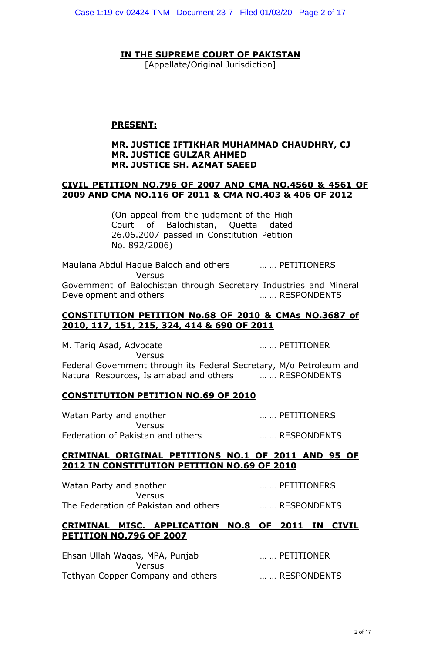# **IN THE SUPREME COURT OF PAKISTAN**

[Appellate/Original Jurisdiction]

### **PRESENT:**

### **MR. JUSTICE IFTIKHAR MUHAMMAD CHAUDHRY, CJ MR. JUSTICE GULZAR AHMED MR. JUSTICE SH. AZMAT SAEED**

### **CIVIL PETITION NO.796 OF 2007 AND CMA NO.4560 & 4561 OF 2009 AND CMA NO.116 OF 2011 & CMA NO.403 & 406 OF 2012**

(On appeal from the judgment of the High Court of Balochistan, Quetta dated 26.06.2007 passed in Constitution Petition No. 892/2006)

Maulana Abdul Haque Baloch and others … … PETITIONERS Versus Government of Balochistan through Secretary Industries and Mineral Development and others measured with the measured with the Development and others in the measured with the MESPONDENTS

# **CONSTITUTION PETITION No.68 OF 2010 & CMAs NO.3687 of 2010, 117, 151, 215, 324, 414 & 690 OF 2011**

M. Tariq Asad, Advocate … … PETITIONER Versus Federal Government through its Federal Secretary, M/o Petroleum and Natural Resources, Islamabad and others … … RESPONDENTS

# **CONSTITUTION PETITION NO.69 OF 2010**

Watan Party and another **EXADLER EXADLER EXADLER EXADLER EXADLER EXADLER EXADLER Versus** Federation of Pakistan and others **Example 2018** ... ... RESPONDENTS

### **CRIMINAL ORIGINAL PETITIONS NO.1 OF 2011 AND 95 OF 2012 IN CONSTITUTION PETITION NO.69 OF 2010**

Watan Party and another **EXACTER** 2014 MILL METITIONERS Versus The Federation of Pakistan and others … … RESPONDENTS

### **CRIMINAL MISC. APPLICATION NO.8 OF 2011 IN CIVIL PETITION NO.796 OF 2007**

Ehsan Ullah Waqas, MPA, Punjab … … PETITIONER Versus Tethyan Copper Company and others … … RESPONDENTS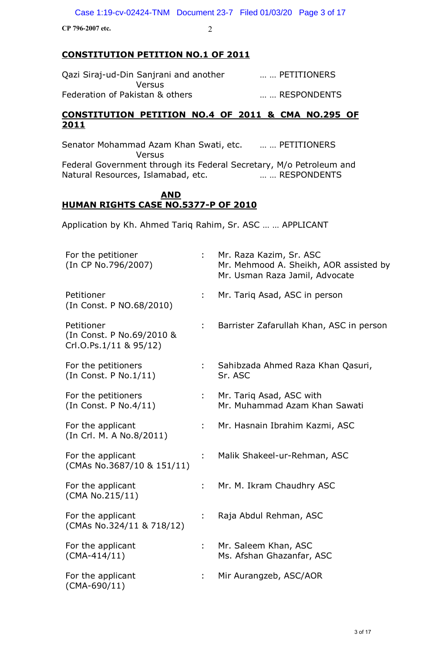# **CONSTITUTION PETITION NO.1 OF 2011**

| Qazi Siraj-ud-Din Sanjrani and another | PETITIONERS |
|----------------------------------------|-------------|
| Versus                                 |             |
| Federation of Pakistan & others        | RESPONDENTS |

# **CONSTITUTION PETITION NO.4 OF 2011 & CMA NO.295 OF 2011**

Senator Mohammad Azam Khan Swati, etc. … … PETITIONERS Versus Federal Government through its Federal Secretary, M/o Petroleum and Natural Resources, Islamabad, etc. … … RESPONDENTS

# **AND HUMAN RIGHTS CASE NO.5377-P OF 2010**

Application by Kh. Ahmed Tariq Rahim, Sr. ASC … … APPLICANT

| For the petitioner<br>(In CP No.796/2007)                         |    | Mr. Raza Kazim, Sr. ASC<br>Mr. Mehmood A. Sheikh, AOR assisted by<br>Mr. Usman Raza Jamil, Advocate |
|-------------------------------------------------------------------|----|-----------------------------------------------------------------------------------------------------|
| Petitioner<br>(In Const. P NO.68/2010)                            | t. | Mr. Tariq Asad, ASC in person                                                                       |
| Petitioner<br>(In Const. P No.69/2010 &<br>Crl.O.Ps.1/11 & 95/12) |    | Barrister Zafarullah Khan, ASC in person                                                            |
| For the petitioners<br>(In Const. P No.1/11)                      |    | Sahibzada Ahmed Raza Khan Qasuri,<br>Sr. ASC                                                        |
| For the petitioners<br>(In Const. P No.4/11)                      |    | Mr. Tariq Asad, ASC with<br>Mr. Muhammad Azam Khan Sawati                                           |
| For the applicant<br>(In Crl. M. A No.8/2011)                     | ÷. | Mr. Hasnain Ibrahim Kazmi, ASC                                                                      |
| For the applicant<br>(CMAs No.3687/10 & 151/11)                   |    | Malik Shakeel-ur-Rehman, ASC                                                                        |
| For the applicant<br>(CMA No.215/11)                              |    | Mr. M. Ikram Chaudhry ASC                                                                           |
| For the applicant<br>(CMAs No.324/11 & 718/12)                    |    | Raja Abdul Rehman, ASC                                                                              |
| For the applicant<br>$(CMA-414/11)$                               |    | Mr. Saleem Khan, ASC<br>Ms. Afshan Ghazanfar, ASC                                                   |
| For the applicant<br>$(CMA-690/11)$                               | ÷  | Mir Aurangzeb, ASC/AOR                                                                              |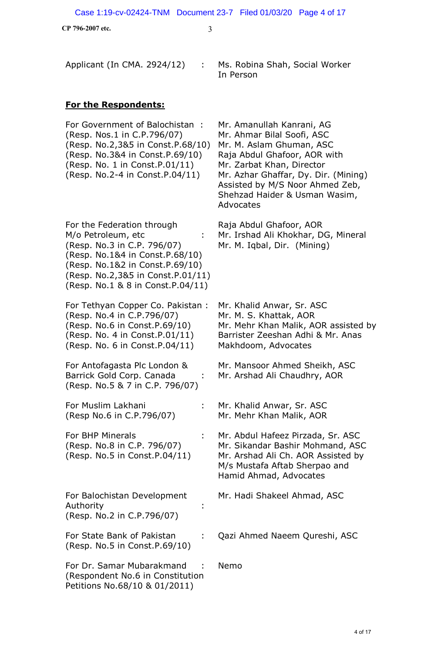| Applicant (In CMA. 2924/12)                                                                                                                                                                                                     | Ms. Robina Shah, Social Worker<br>In Person                                                                                                                                                                                                                               |
|---------------------------------------------------------------------------------------------------------------------------------------------------------------------------------------------------------------------------------|---------------------------------------------------------------------------------------------------------------------------------------------------------------------------------------------------------------------------------------------------------------------------|
| <b>For the Respondents:</b>                                                                                                                                                                                                     |                                                                                                                                                                                                                                                                           |
| For Government of Balochistan:<br>(Resp. Nos.1 in C.P.796/07)<br>(Resp. No.2,3&5 in Const.P.68/10)<br>(Resp. No.3&4 in Const.P.69/10)<br>(Resp. No. 1 in Const.P.01/11)<br>(Resp. No.2-4 in Const.P.04/11)                      | Mr. Amanullah Kanrani, AG<br>Mr. Ahmar Bilal Soofi, ASC<br>Mr. M. Aslam Ghuman, ASC<br>Raja Abdul Ghafoor, AOR with<br>Mr. Zarbat Khan, Director<br>Mr. Azhar Ghaffar, Dy. Dir. (Mining)<br>Assisted by M/S Noor Ahmed Zeb,<br>Shehzad Haider & Usman Wasim,<br>Advocates |
| For the Federation through<br>M/o Petroleum, etc<br>(Resp. No.3 in C.P. 796/07)<br>(Resp. No.1&4 in Const.P.68/10)<br>(Resp. No.1&2 in Const.P.69/10)<br>(Resp. No.2,3&5 in Const.P.01/11)<br>(Resp. No.1 & 8 in Const.P.04/11) | Raja Abdul Ghafoor, AOR<br>Mr. Irshad Ali Khokhar, DG, Mineral<br>Mr. M. Iqbal, Dir. (Mining)                                                                                                                                                                             |
| For Tethyan Copper Co. Pakistan:<br>(Resp. No.4 in C.P.796/07)<br>(Resp. No.6 in Const.P.69/10)<br>(Resp. No. 4 in Const. P. 01/11)<br>(Resp. No. 6 in Const.P.04/11)                                                           | Mr. Khalid Anwar, Sr. ASC<br>Mr. M. S. Khattak, AOR<br>Mr. Mehr Khan Malik, AOR assisted by<br>Barrister Zeeshan Adhi & Mr. Anas<br>Makhdoom, Advocates                                                                                                                   |
| For Antofagasta Plc London &<br>Barrick Gold Corp. Canada<br>(Resp. No.5 & 7 in C.P. 796/07)                                                                                                                                    | Mr. Mansoor Ahmed Sheikh, ASC<br>Mr. Arshad Ali Chaudhry, AOR                                                                                                                                                                                                             |
| For Muslim Lakhani<br>(Resp No.6 in C.P.796/07)                                                                                                                                                                                 | Mr. Khalid Anwar, Sr. ASC<br>Mr. Mehr Khan Malik, AOR                                                                                                                                                                                                                     |
| For BHP Minerals<br>(Resp. No.8 in C.P. 796/07)<br>(Resp. No.5 in Const.P.04/11)                                                                                                                                                | Mr. Abdul Hafeez Pirzada, Sr. ASC<br>Mr. Sikandar Bashir Mohmand, ASC<br>Mr. Arshad Ali Ch. AOR Assisted by<br>M/s Mustafa Aftab Sherpao and<br>Hamid Ahmad, Advocates                                                                                                    |
| For Balochistan Development<br>Authority<br>(Resp. No.2 in C.P.796/07)                                                                                                                                                          | Mr. Hadi Shakeel Ahmad, ASC                                                                                                                                                                                                                                               |
| For State Bank of Pakistan<br>(Resp. No.5 in Const.P.69/10)                                                                                                                                                                     | Qazi Ahmed Naeem Qureshi, ASC                                                                                                                                                                                                                                             |
| For Dr. Samar Mubarakmand<br>(Respondent No.6 in Constitution                                                                                                                                                                   | Nemo                                                                                                                                                                                                                                                                      |

Petitions No.68/10 & 01/2011)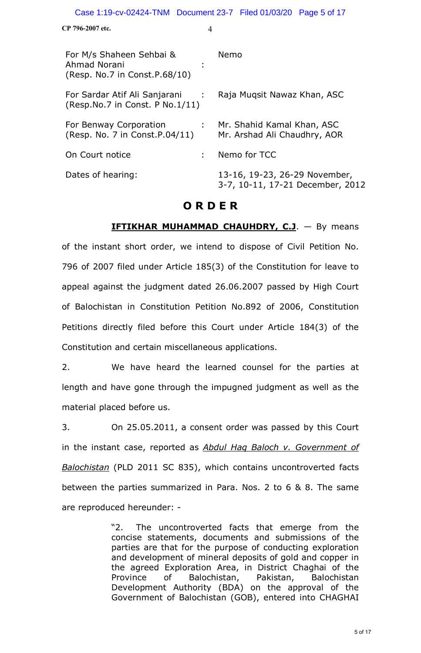| CP 796-2007 etc. |  |
|------------------|--|
|------------------|--|

| For M/s Shaheen Sehbai &<br>Ahmad Norani<br>(Resp. No.7 in Const.P.68/10)               | Nemo                                                              |
|-----------------------------------------------------------------------------------------|-------------------------------------------------------------------|
| For Sardar Atif Ali Sanjarani :<br>(Resp. No. $7$ in Const. P No. $1/11$ )              | Raja Muqsit Nawaz Khan, ASC                                       |
| For Benway Corporation<br>$\mathcal{L}^{\text{max}}$<br>(Resp. No. 7 in Const. P.04/11) | Mr. Shahid Kamal Khan, ASC<br>Mr. Arshad Ali Chaudhry, AOR        |
| On Court notice                                                                         | Nemo for TCC                                                      |
| Dates of hearing:                                                                       | 13-16, 19-23, 26-29 November,<br>3-7, 10-11, 17-21 December, 2012 |

# **O R D E R**

**IFTIKHAR MUHAMMAD CHAUHDRY, C.J.** - By means of the instant short order, we intend to dispose of Civil Petition No. 796 of 2007 filed under Article 185(3) of the Constitution for leave to appeal against the judgment dated 26.06.2007 passed by High Court of Balochistan in Constitution Petition No.892 of 2006, Constitution Petitions directly filed before this Court under Article 184(3) of the Constitution and certain miscellaneous applications.

2. We have heard the learned counsel for the parties at length and have gone through the impugned judgment as well as the material placed before us.

3. On 25.05.2011, a consent order was passed by this Court in the instant case, reported as *Abdul Haq Baloch v. Government of Balochistan* (PLD 2011 SC 835), which contains uncontroverted facts between the parties summarized in Para. Nos. 2 to 6 & 8. The same are reproduced hereunder: -

> "2. The uncontroverted facts that emerge from the concise statements, documents and submissions of the parties are that for the purpose of conducting exploration and development of mineral deposits of gold and copper in the agreed Exploration Area, in District Chaghai of the Province of Balochistan, Pakistan, Balochistan Development Authority (BDA) on the approval of the Government of Balochistan (GOB), entered into CHAGHAI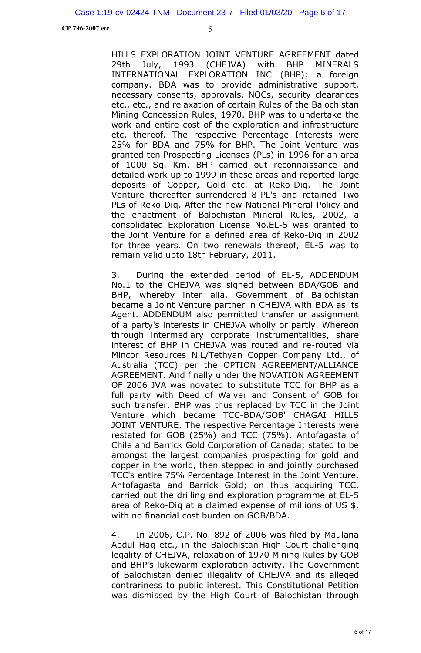HILLS EXPLORATION JOINT VENTURE AGREEMENT dated 29th July, 1993 (CHEJVA) with BHP MINERALS INTERNATIONAL EXPLORATION INC (BHP); a foreign company. BDA was to provide administrative support, necessary consents, approvals, NOCs, security clearances etc., etc., and relaxation of certain Rules of the Balochistan Mining Concession Rules, 1970. BHP was to undertake the work and entire cost of the exploration and infrastructure etc. thereof. The respective Percentage Interests were 25% for BDA and 75% for BHP. The Joint Venture was granted ten Prospecting Licenses (PLs) in 1996 for an area of 1000 Sq. Km. BHP carried out reconnaissance and detailed work up to 1999 in these areas and reported large deposits of Copper, Gold etc. at Reko-Diq. The Joint Venture thereafter surrendered 8-PL's and retained Two PLs of Reko-Diq. After the new National Mineral Policy and the enactment of Balochistan Mineral Rules, 2002, a consolidated Exploration License No.EL-5 was granted to the Joint Venture for a defined area of Reko-Diq in 2002 for three years. On two renewals thereof, EL-5 was to remain valid upto 18th February, 2011.

3. During the extended period of EL-5, ADDENDUM No.1 to the CHEJVA was signed between BDA/GOB and BHP, whereby inter alia, Government of Balochistan became a Joint Venture partner in CHEJVA with BDA as its Agent. ADDENDUM also permitted transfer or assignment of a party's interests in CHEJVA wholly or partly. Whereon through intermediary corporate instrumentalities, share interest of BHP in CHEJVA was routed and re-routed via Mincor Resources N.L/Tethyan Copper Company Ltd., of Australia (TCC) per the OPTION AGREEMENT/ALLIANCE AGREEMENT. And finally under the NOVATION AGREEMENT OF 2006 JVA was novated to substitute TCC for BHP as a full party with Deed of Waiver and Consent of GOB for such transfer. BHP was thus replaced by TCC in the Joint Venture which became TCC-BDA/GOB' CHAGAI HILLS JOINT VENTURE. The respective Percentage Interests were restated for GOB (25%) and TCC (75%). Antofagasta of Chile and Barrick Gold Corporation of Canada; stated to be amongst the largest companies prospecting for gold and copper in the world, then stepped in and jointly purchased TCC's entire 75% Percentage Interest in the Joint Venture. Antofagasta and Barrick Gold; on thus acquiring TCC, carried out the drilling and exploration programme at EL-5 area of Reko-Diq at a claimed expense of millions of US \$, with no financial cost burden on GOB/BDA.

4. In 2006, C.P. No. 892 of 2006 was filed by Maulana Abdul Haq etc., in the Balochistan High Court challenging legality of CHEJVA, relaxation of 1970 Mining Rules by GOB and BHP's lukewarm exploration activity. The Government of Balochistan denied illegality of CHEJVA and its alleged contrariness to public interest. This Constitutional Petition was dismissed by the High Court of Balochistan through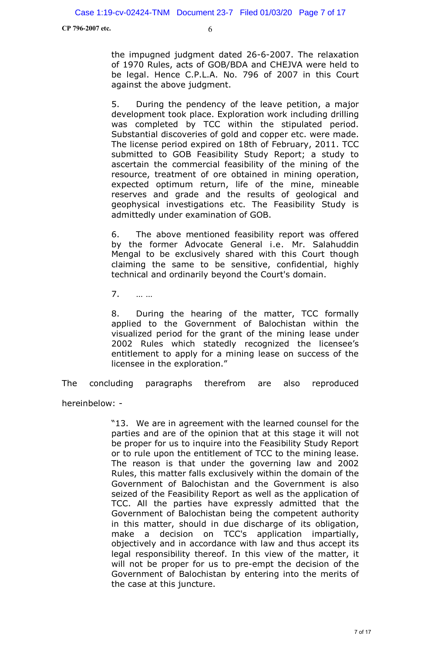the impugned judgment dated 26-6-2007. The relaxation of 1970 Rules, acts of GOB/BDA and CHEJVA were held to be legal. Hence C.P.L.A. No. 796 of 2007 in this Court against the above judgment.

5. During the pendency of the leave petition, a major development took place. Exploration work including drilling was completed by TCC within the stipulated period. Substantial discoveries of gold and copper etc. were made. The license period expired on 18th of February, 2011. TCC submitted to GOB Feasibility Study Report; a study to ascertain the commercial feasibility of the mining of the resource, treatment of ore obtained in mining operation, expected optimum return, life of the mine, mineable reserves and grade and the results of geological and geophysical investigations etc. The Feasibility Study is admittedly under examination of GOB.

6. The above mentioned feasibility report was offered by the former Advocate General i.e. Mr. Salahuddin Mengal to be exclusively shared with this Court though claiming the same to be sensitive, confidential, highly technical and ordinarily beyond the Court's domain.

7. … …

8. During the hearing of the matter, TCC formally applied to the Government of Balochistan within the visualized period for the grant of the mining lease under 2002 Rules which statedly recognized the licensee's entitlement to apply for a mining lease on success of the licensee in the exploration."

The concluding paragraphs therefrom are also reproduced hereinbelow: -

> "13. We are in agreement with the learned counsel for the parties and are of the opinion that at this stage it will not be proper for us to inquire into the Feasibility Study Report or to rule upon the entitlement of TCC to the mining lease. The reason is that under the governing law and 2002 Rules, this matter falls exclusively within the domain of the Government of Balochistan and the Government is also seized of the Feasibility Report as well as the application of TCC. All the parties have expressly admitted that the Government of Balochistan being the competent authority in this matter, should in due discharge of its obligation, make a decision on TCC's application impartially, objectively and in accordance with law and thus accept its legal responsibility thereof. In this view of the matter, it will not be proper for us to pre-empt the decision of the Government of Balochistan by entering into the merits of the case at this juncture.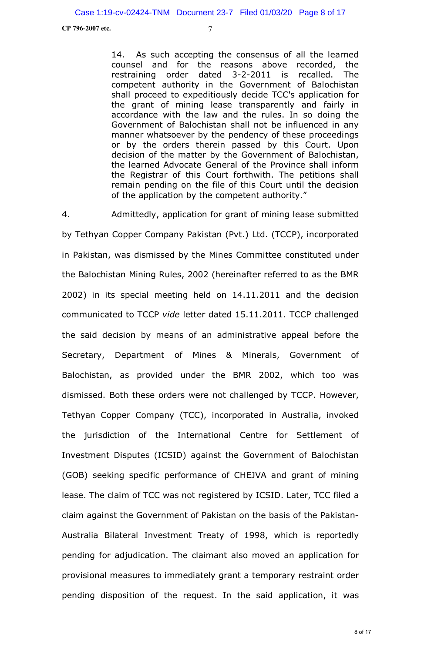14. As such accepting the consensus of all the learned counsel and for the reasons above recorded, the restraining order dated 3-2-2011 is recalled. The competent authority in the Government of Balochistan shall proceed to expeditiously decide TCC's application for the grant of mining lease transparently and fairly in accordance with the law and the rules. In so doing the Government of Balochistan shall not be influenced in any manner whatsoever by the pendency of these proceedings or by the orders therein passed by this Court. Upon decision of the matter by the Government of Balochistan, the learned Advocate General of the Province shall inform the Registrar of this Court forthwith. The petitions shall remain pending on the file of this Court until the decision of the application by the competent authority."

4. Admittedly, application for grant of mining lease submitted by Tethyan Copper Company Pakistan (Pvt.) Ltd. (TCCP), incorporated in Pakistan, was dismissed by the Mines Committee constituted under the Balochistan Mining Rules, 2002 (hereinafter referred to as the BMR 2002) in its special meeting held on 14.11.2011 and the decision communicated to TCCP *vide* letter dated 15.11.2011. TCCP challenged the said decision by means of an administrative appeal before the Secretary, Department of Mines & Minerals, Government of Balochistan, as provided under the BMR 2002, which too was dismissed. Both these orders were not challenged by TCCP. However, Tethyan Copper Company (TCC), incorporated in Australia, invoked the jurisdiction of the International Centre for Settlement of Investment Disputes (ICSID) against the Government of Balochistan (GOB) seeking specific performance of CHEJVA and grant of mining lease. The claim of TCC was not registered by ICSID. Later, TCC filed a claim against the Government of Pakistan on the basis of the Pakistan-Australia Bilateral Investment Treaty of 1998, which is reportedly pending for adjudication. The claimant also moved an application for provisional measures to immediately grant a temporary restraint order pending disposition of the request. In the said application, it was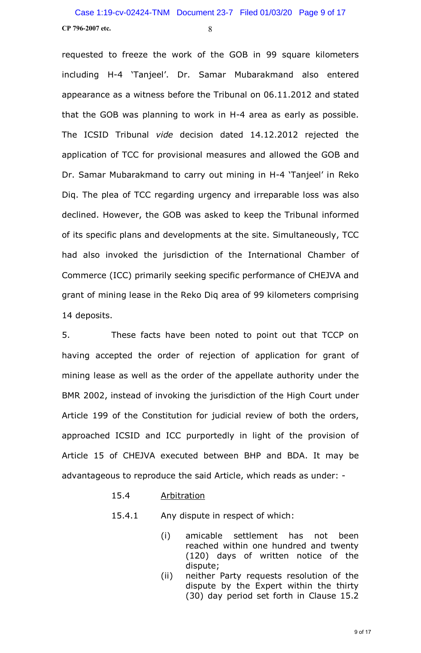requested to freeze the work of the GOB in 99 square kilometers including H-4 'Tanjeel'. Dr. Samar Mubarakmand also entered appearance as a witness before the Tribunal on 06.11.2012 and stated that the GOB was planning to work in H-4 area as early as possible. The ICSID Tribunal *vide* decision dated 14.12.2012 rejected the application of TCC for provisional measures and allowed the GOB and Dr. Samar Mubarakmand to carry out mining in H-4 'Tanjeel' in Reko Diq. The plea of TCC regarding urgency and irreparable loss was also declined. However, the GOB was asked to keep the Tribunal informed of its specific plans and developments at the site. Simultaneously, TCC had also invoked the jurisdiction of the International Chamber of Commerce (ICC) primarily seeking specific performance of CHEJVA and grant of mining lease in the Reko Diq area of 99 kilometers comprising 14 deposits.

5. These facts have been noted to point out that TCCP on having accepted the order of rejection of application for grant of mining lease as well as the order of the appellate authority under the BMR 2002, instead of invoking the jurisdiction of the High Court under Article 199 of the Constitution for judicial review of both the orders, approached ICSID and ICC purportedly in light of the provision of Article 15 of CHEJVA executed between BHP and BDA. It may be advantageous to reproduce the said Article, which reads as under: -

15.4 Arbitration

15.4.1 Any dispute in respect of which:

- (i) amicable settlement has not been reached within one hundred and twenty (120) days of written notice of the dispute;
- (ii) neither Party requests resolution of the dispute by the Expert within the thirty (30) day period set forth in Clause 15.2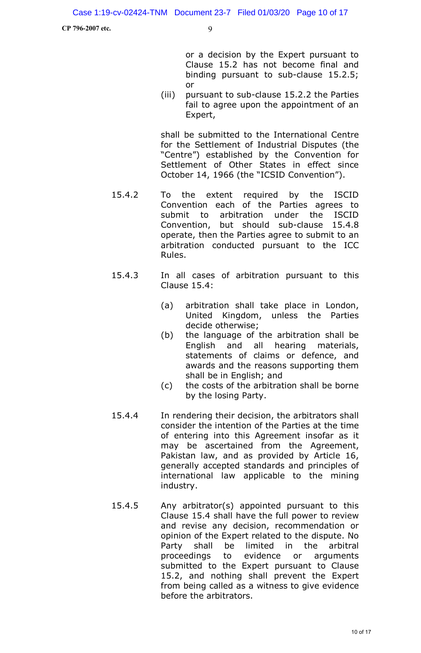or a decision by the Expert pursuant to Clause 15.2 has not become final and binding pursuant to sub-clause 15.2.5; or

(iii) pursuant to sub-clause 15.2.2 the Parties fail to agree upon the appointment of an Expert,

shall be submitted to the International Centre for the Settlement of Industrial Disputes (the "Centre") established by the Convention for Settlement of Other States in effect since October 14, 1966 (the "ICSID Convention").

- 15.4.2 To the extent required by the ISCID Convention each of the Parties agrees to submit to arbitration under the ISCID Convention, but should sub-clause 15.4.8 operate, then the Parties agree to submit to an arbitration conducted pursuant to the ICC Rules.
- 15.4.3 In all cases of arbitration pursuant to this Clause 15.4:
	- (a) arbitration shall take place in London, United Kingdom, unless the Parties decide otherwise;
	- (b) the language of the arbitration shall be English and all hearing materials, statements of claims or defence, and awards and the reasons supporting them shall be in English; and
	- (c) the costs of the arbitration shall be borne by the losing Party.
- 15.4.4 In rendering their decision, the arbitrators shall consider the intention of the Parties at the time of entering into this Agreement insofar as it may be ascertained from the Agreement, Pakistan law, and as provided by Article 16, generally accepted standards and principles of international law applicable to the mining industry.
- 15.4.5 Any arbitrator(s) appointed pursuant to this Clause 15.4 shall have the full power to review and revise any decision, recommendation or opinion of the Expert related to the dispute. No Party shall be limited in the arbitral proceedings to evidence or arguments submitted to the Expert pursuant to Clause 15.2, and nothing shall prevent the Expert from being called as a witness to give evidence before the arbitrators.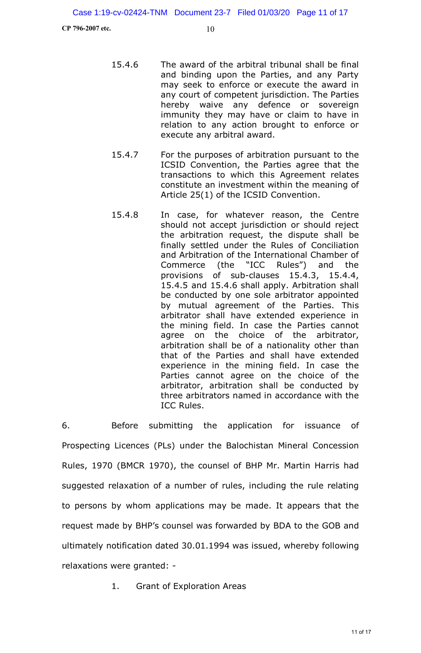- 15.4.6 The award of the arbitral tribunal shall be final and binding upon the Parties, and any Party may seek to enforce or execute the award in any court of competent jurisdiction. The Parties hereby waive any defence or sovereign immunity they may have or claim to have in relation to any action brought to enforce or execute any arbitral award.
- 15.4.7 For the purposes of arbitration pursuant to the ICSID Convention, the Parties agree that the transactions to which this Agreement relates constitute an investment within the meaning of Article 25(1) of the ICSID Convention.
- 15.4.8 In case, for whatever reason, the Centre should not accept jurisdiction or should reject the arbitration request, the dispute shall be finally settled under the Rules of Conciliation and Arbitration of the International Chamber of Commerce (the "ICC Rules") and the provisions of sub-clauses 15.4.3, 15.4.4, 15.4.5 and 15.4.6 shall apply. Arbitration shall be conducted by one sole arbitrator appointed by mutual agreement of the Parties. This arbitrator shall have extended experience in the mining field. In case the Parties cannot agree on the choice of the arbitrator, arbitration shall be of a nationality other than that of the Parties and shall have extended experience in the mining field. In case the Parties cannot agree on the choice of the arbitrator, arbitration shall be conducted by three arbitrators named in accordance with the ICC Rules.

6. Before submitting the application for issuance of Prospecting Licences (PLs) under the Balochistan Mineral Concession Rules, 1970 (BMCR 1970), the counsel of BHP Mr. Martin Harris had suggested relaxation of a number of rules, including the rule relating to persons by whom applications may be made. It appears that the request made by BHP's counsel was forwarded by BDA to the GOB and ultimately notification dated 30.01.1994 was issued, whereby following relaxations were granted: -

1. Grant of Exploration Areas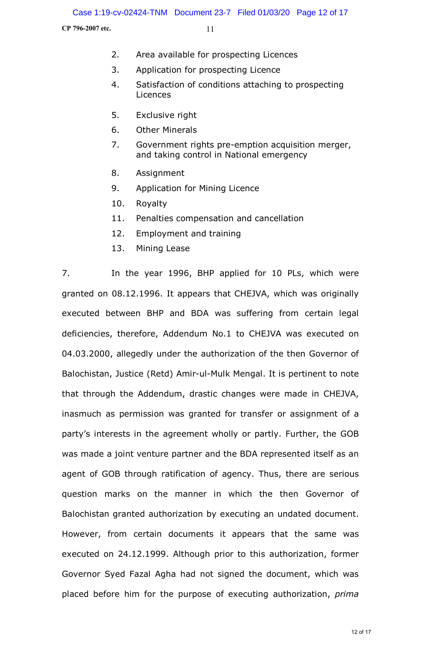- 2. Area available for prospecting Licences
- 3. Application for prospecting Licence
- 4. Satisfaction of conditions attaching to prospecting Licences
- 5. Exclusive right
- 6. Other Minerals
- 7. Government rights pre-emption acquisition merger, and taking control in National emergency
- 8. Assignment
- 9. Application for Mining Licence
- 10. Royalty
- 11. Penalties compensation and cancellation
- 12. Employment and training
- 13. Mining Lease

7. In the year 1996, BHP applied for 10 PLs, which were granted on 08.12.1996. It appears that CHEJVA, which was originally executed between BHP and BDA was suffering from certain legal deficiencies, therefore, Addendum No.1 to CHEJVA was executed on 04.03.2000, allegedly under the authorization of the then Governor of Balochistan, Justice (Retd) Amir-ul-Mulk Mengal. It is pertinent to note that through the Addendum, drastic changes were made in CHEJVA, inasmuch as permission was granted for transfer or assignment of a party's interests in the agreement wholly or partly. Further, the GOB was made a joint venture partner and the BDA represented itself as an agent of GOB through ratification of agency. Thus, there are serious question marks on the manner in which the then Governor of Balochistan granted authorization by executing an undated document. However, from certain documents it appears that the same was executed on 24.12.1999. Although prior to this authorization, former Governor Syed Fazal Agha had not signed the document, which was placed before him for the purpose of executing authorization, *prima*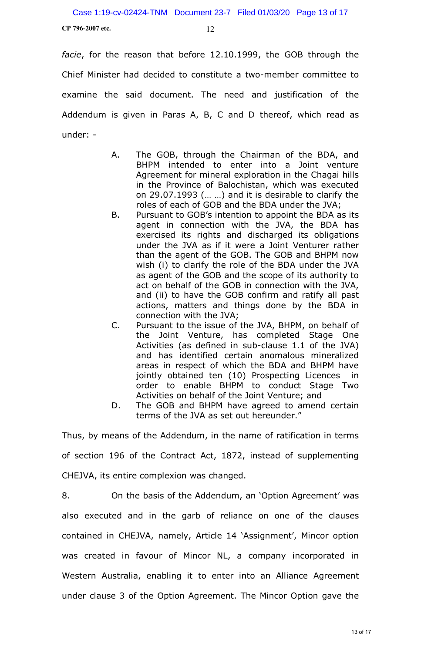*facie*, for the reason that before 12.10.1999, the GOB through the Chief Minister had decided to constitute a two-member committee to examine the said document. The need and justification of the Addendum is given in Paras A, B, C and D thereof, which read as under: -

- A. The GOB, through the Chairman of the BDA, and BHPM intended to enter into a Joint venture Agreement for mineral exploration in the Chagai hills in the Province of Balochistan, which was executed on 29.07.1993 (… …) and it is desirable to clarify the roles of each of GOB and the BDA under the JVA;
- B. Pursuant to GOB's intention to appoint the BDA as its agent in connection with the JVA, the BDA has exercised its rights and discharged its obligations under the JVA as if it were a Joint Venturer rather than the agent of the GOB. The GOB and BHPM now wish (i) to clarify the role of the BDA under the JVA as agent of the GOB and the scope of its authority to act on behalf of the GOB in connection with the JVA, and (ii) to have the GOB confirm and ratify all past actions, matters and things done by the BDA in connection with the JVA;
- C. Pursuant to the issue of the JVA, BHPM, on behalf of the Joint Venture, has completed Stage One Activities (as defined in sub-clause 1.1 of the JVA) and has identified certain anomalous mineralized areas in respect of which the BDA and BHPM have jointly obtained ten (10) Prospecting Licences in order to enable BHPM to conduct Stage Two Activities on behalf of the Joint Venture; and
- D. The GOB and BHPM have agreed to amend certain terms of the JVA as set out hereunder."

Thus, by means of the Addendum, in the name of ratification in terms of section 196 of the Contract Act, 1872, instead of supplementing CHEJVA, its entire complexion was changed.

8. On the basis of the Addendum, an 'Option Agreement' was also executed and in the garb of reliance on one of the clauses contained in CHEJVA, namely, Article 14 'Assignment', Mincor option was created in favour of Mincor NL, a company incorporated in Western Australia, enabling it to enter into an Alliance Agreement under clause 3 of the Option Agreement. The Mincor Option gave the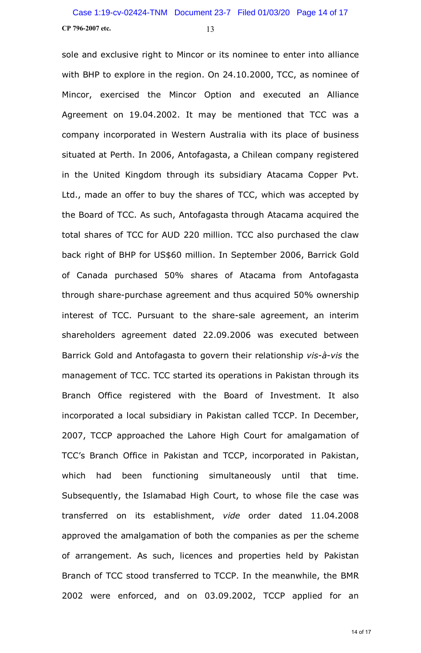sole and exclusive right to Mincor or its nominee to enter into alliance with BHP to explore in the region. On 24.10.2000, TCC, as nominee of Mincor, exercised the Mincor Option and executed an Alliance Agreement on 19.04.2002. It may be mentioned that TCC was a company incorporated in Western Australia with its place of business situated at Perth. In 2006, Antofagasta, a Chilean company registered in the United Kingdom through its subsidiary Atacama Copper Pvt. Ltd., made an offer to buy the shares of TCC, which was accepted by the Board of TCC. As such, Antofagasta through Atacama acquired the total shares of TCC for AUD 220 million. TCC also purchased the claw back right of BHP for US\$60 million. In September 2006, Barrick Gold of Canada purchased 50% shares of Atacama from Antofagasta through share-purchase agreement and thus acquired 50% ownership interest of TCC. Pursuant to the share-sale agreement, an interim shareholders agreement dated 22.09.2006 was executed between Barrick Gold and Antofagasta to govern their relationship *vis*-*à*-*vis* the management of TCC. TCC started its operations in Pakistan through its Branch Office registered with the Board of Investment. It also incorporated a local subsidiary in Pakistan called TCCP. In December, 2007, TCCP approached the Lahore High Court for amalgamation of TCC's Branch Office in Pakistan and TCCP, incorporated in Pakistan, which had been functioning simultaneously until that time. Subsequently, the Islamabad High Court, to whose file the case was transferred on its establishment, *vide* order dated 11.04.2008 approved the amalgamation of both the companies as per the scheme of arrangement. As such, licences and properties held by Pakistan Branch of TCC stood transferred to TCCP. In the meanwhile, the BMR 2002 were enforced, and on 03.09.2002, TCCP applied for an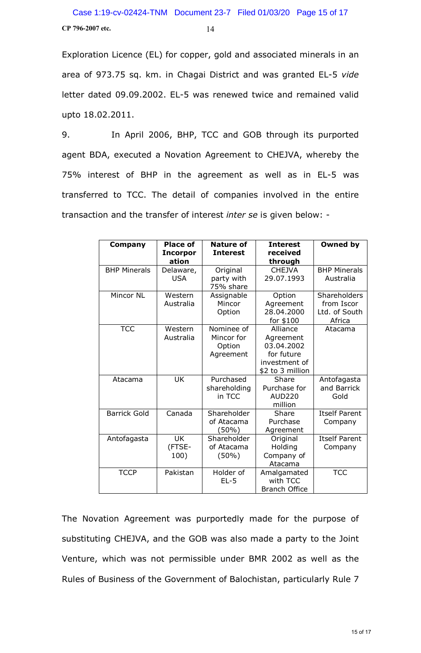Exploration Licence (EL) for copper, gold and associated minerals in an area of 973.75 sq. km. in Chagai District and was granted EL-5 *vide* letter dated 09.09.2002. EL-5 was renewed twice and remained valid upto 18.02.2011.

9. In April 2006, BHP, TCC and GOB through its purported agent BDA, executed a Novation Agreement to CHEJVA, whereby the 75% interest of BHP in the agreement as well as in EL-5 was transferred to TCC. The detail of companies involved in the entire transaction and the transfer of interest *inter se* is given below: -

| Company             | <b>Place of</b><br><b>Incorpor</b> | <b>Nature of</b><br><b>Interest</b>   | <b>Interest</b><br>received                            | Owned by                                              |
|---------------------|------------------------------------|---------------------------------------|--------------------------------------------------------|-------------------------------------------------------|
|                     | ation                              |                                       | through                                                |                                                       |
| <b>BHP Minerals</b> | Delaware,<br><b>USA</b>            | Original<br>party with<br>75% share   | <b>CHEJVA</b><br>29.07.1993                            | <b>BHP Minerals</b><br>Australia                      |
|                     |                                    |                                       |                                                        |                                                       |
| Mincor NL           | Western<br>Australia               | Assignable<br>Mincor<br>Option        | Option<br>Agreement<br>28.04.2000                      | Shareholders<br>from Iscor<br>Ltd. of South<br>Africa |
| <b>TCC</b>          | Western                            | Nominee of                            | for \$100<br>Alliance                                  | Atacama                                               |
|                     | Australia                          | Mincor for<br>Option<br>Agreement     | Agreement<br>03.04.2002<br>for future<br>investment of |                                                       |
|                     |                                    |                                       | \$2 to 3 million                                       |                                                       |
| Atacama             | <b>UK</b>                          | Purchased<br>shareholding<br>in TCC   | Share<br>Purchase for<br><b>AUD220</b><br>million      | Antofagasta<br>and Barrick<br>Gold                    |
| <b>Barrick Gold</b> | Canada                             | Shareholder<br>of Atacama<br>(50%)    | Share<br>Purchase<br>Agreement                         | <b>Itself Parent</b><br>Company                       |
| Antofagasta         | <b>UK</b><br>(FTSE-<br>100)        | Shareholder<br>of Atacama<br>$(50\%)$ | Original<br>Holding<br>Company of<br>Atacama           | <b>Itself Parent</b><br>Company                       |
| <b>TCCP</b>         | Pakistan                           | Holder of<br>$EL-5$                   | Amalgamated<br>with TCC<br><b>Branch Office</b>        | <b>TCC</b>                                            |

The Novation Agreement was purportedly made for the purpose of substituting CHEJVA, and the GOB was also made a party to the Joint Venture, which was not permissible under BMR 2002 as well as the Rules of Business of the Government of Balochistan, particularly Rule 7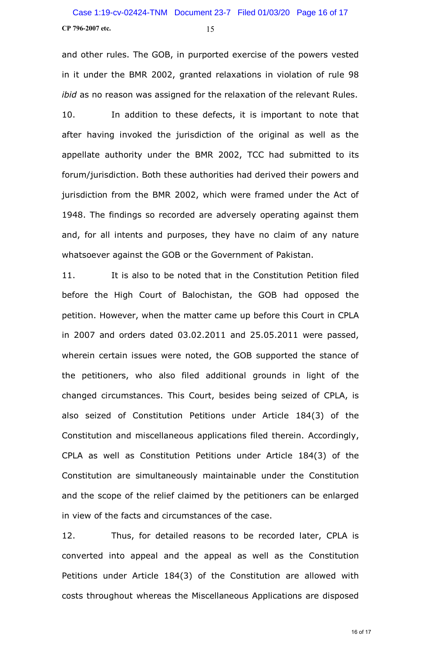and other rules. The GOB, in purported exercise of the powers vested in it under the BMR 2002, granted relaxations in violation of rule 98 *ibid* as no reason was assigned for the relaxation of the relevant Rules.

10. In addition to these defects, it is important to note that after having invoked the jurisdiction of the original as well as the appellate authority under the BMR 2002, TCC had submitted to its forum/jurisdiction. Both these authorities had derived their powers and jurisdiction from the BMR 2002, which were framed under the Act of 1948. The findings so recorded are adversely operating against them and, for all intents and purposes, they have no claim of any nature whatsoever against the GOB or the Government of Pakistan.

11. It is also to be noted that in the Constitution Petition filed before the High Court of Balochistan, the GOB had opposed the petition. However, when the matter came up before this Court in CPLA in 2007 and orders dated 03.02.2011 and 25.05.2011 were passed, wherein certain issues were noted, the GOB supported the stance of the petitioners, who also filed additional grounds in light of the changed circumstances. This Court, besides being seized of CPLA, is also seized of Constitution Petitions under Article 184(3) of the Constitution and miscellaneous applications filed therein. Accordingly, CPLA as well as Constitution Petitions under Article 184(3) of the Constitution are simultaneously maintainable under the Constitution and the scope of the relief claimed by the petitioners can be enlarged in view of the facts and circumstances of the case.

12. Thus, for detailed reasons to be recorded later, CPLA is converted into appeal and the appeal as well as the Constitution Petitions under Article 184(3) of the Constitution are allowed with costs throughout whereas the Miscellaneous Applications are disposed